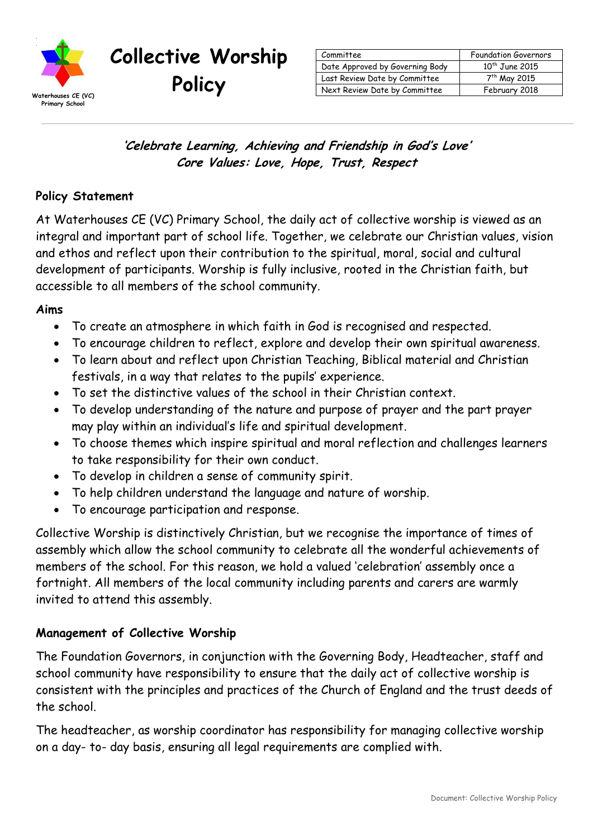

# **Collective Worship** Waterhouses CE (VC) **Policy**

| Committee                       | <b>Foundation Governors</b> |
|---------------------------------|-----------------------------|
| Date Approved by Governing Body | $10^{th}$ June 2015         |
| Last Review Date by Committee   | 7 <sup>th</sup> May 2015    |
| Next Review Date by Committee   | February 2018               |

**'Celebrate Learning, Achieving and Friendship in God's Love' Core Values: Love, Hope, Trust, Respect**

# **Policy Statement**

At Waterhouses CE (VC) Primary School, the daily act of collective worship is viewed as an integral and important part of school life. Together, we celebrate our Christian values, vision and ethos and reflect upon their contribution to the spiritual, moral, social and cultural development of participants. Worship is fully inclusive, rooted in the Christian faith, but accessible to all members of the school community.

#### **Aims**

- To create an atmosphere in which faith in God is recognised and respected.
- To encourage children to reflect, explore and develop their own spiritual awareness.
- To learn about and reflect upon Christian Teaching, Biblical material and Christian festivals, in a way that relates to the pupils' experience.
- To set the distinctive values of the school in their Christian context.
- To develop understanding of the nature and purpose of prayer and the part prayer may play within an individual's life and spiritual development.
- To choose themes which inspire spiritual and moral reflection and challenges learners to take responsibility for their own conduct.
- To develop in children a sense of community spirit.
- To help children understand the language and nature of worship.
- To encourage participation and response.

Collective Worship is distinctively Christian, but we recognise the importance of times of assembly which allow the school community to celebrate all the wonderful achievements of members of the school. For this reason, we hold a valued 'celebration' assembly once a fortnight. All members of the local community including parents and carers are warmly invited to attend this assembly.

#### **Management of Collective Worship**

The Foundation Governors, in conjunction with the Governing Body, Headteacher, staff and school community have responsibility to ensure that the daily act of collective worship is consistent with the principles and practices of the Church of England and the trust deeds of the school.

The headteacher, as worship coordinator has responsibility for managing collective worship on a day- to- day basis, ensuring all legal requirements are complied with.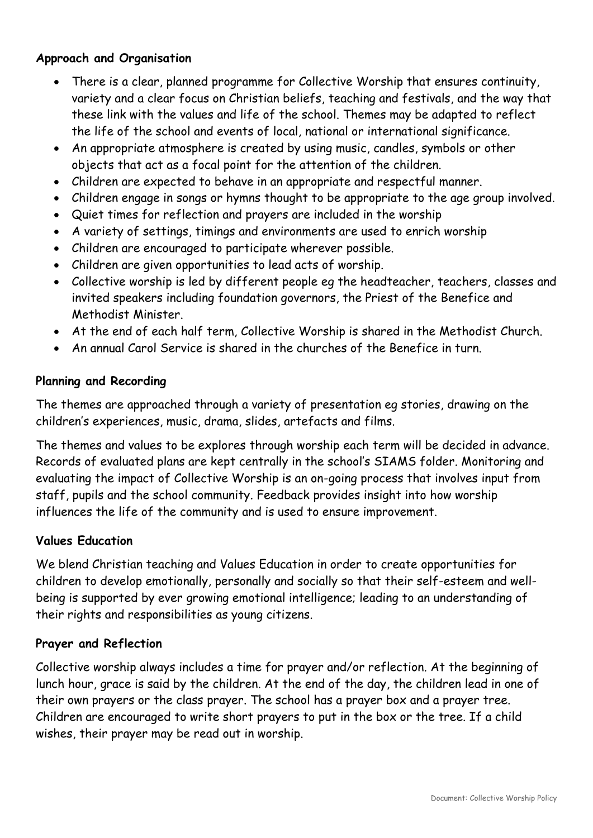## **Approach and Organisation**

- There is a clear, planned programme for Collective Worship that ensures continuity, variety and a clear focus on Christian beliefs, teaching and festivals, and the way that these link with the values and life of the school. Themes may be adapted to reflect the life of the school and events of local, national or international significance.
- An appropriate atmosphere is created by using music, candles, symbols or other objects that act as a focal point for the attention of the children.
- Children are expected to behave in an appropriate and respectful manner.
- Children engage in songs or hymns thought to be appropriate to the age group involved.
- Quiet times for reflection and prayers are included in the worship
- A variety of settings, timings and environments are used to enrich worship
- Children are encouraged to participate wherever possible.
- Children are given opportunities to lead acts of worship.
- Collective worship is led by different people eg the headteacher, teachers, classes and invited speakers including foundation governors, the Priest of the Benefice and Methodist Minister.
- At the end of each half term, Collective Worship is shared in the Methodist Church.
- An annual Carol Service is shared in the churches of the Benefice in turn.

#### **Planning and Recording**

The themes are approached through a variety of presentation eg stories, drawing on the children's experiences, music, drama, slides, artefacts and films.

The themes and values to be explores through worship each term will be decided in advance. Records of evaluated plans are kept centrally in the school's SIAMS folder. Monitoring and evaluating the impact of Collective Worship is an on-going process that involves input from staff, pupils and the school community. Feedback provides insight into how worship influences the life of the community and is used to ensure improvement.

## **Values Education**

We blend Christian teaching and Values Education in order to create opportunities for children to develop emotionally, personally and socially so that their self-esteem and wellbeing is supported by ever growing emotional intelligence; leading to an understanding of their rights and responsibilities as young citizens.

#### **Prayer and Reflection**

Collective worship always includes a time for prayer and/or reflection. At the beginning of lunch hour, grace is said by the children. At the end of the day, the children lead in one of their own prayers or the class prayer. The school has a prayer box and a prayer tree. Children are encouraged to write short prayers to put in the box or the tree. If a child wishes, their prayer may be read out in worship.